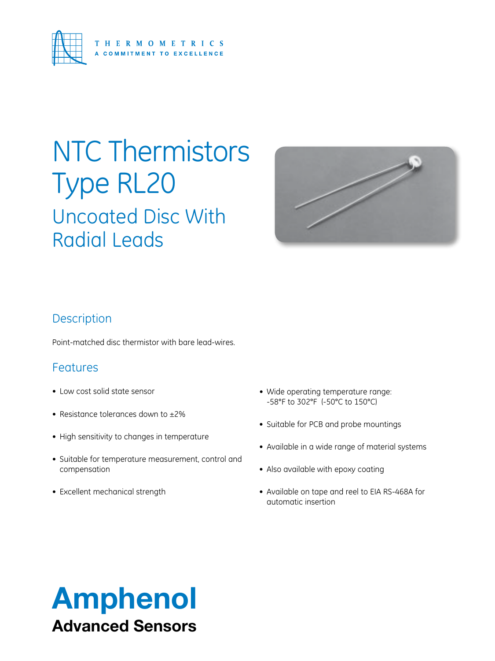

## Uncoated Disc With Radial Leads NTC Thermistors Type RL20



### **Description**

Point-matched disc thermistor with bare lead-wires.

### Features

- Low cost solid state sensor
- Resistance tolerances down to  $\pm 2\%$
- High sensitivity to changes in temperature
- • Suitable for temperature measurement, control and compensation
- Excellent mechanical strength
- Wide operating temperature range: -58°F to 302°F (-50°C to 150°C)
- Suitable for PCB and probe mountings
- • Available in a wide range of material systems
- Also available with epoxy coating
- Available on tape and reel to EIA RS-468A for automatic insertion

## Amphenol Advanced Sensors